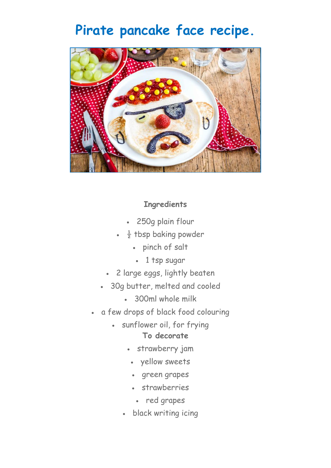## **Pirate pancake face recipe.**



## **Ingredients**

- 250g plain flour
- $\frac{1}{2}$  tbsp baking powder
	- pinch of salt
	- 1 tsp sugar
- 2 large eggs, lightly beaten
- 30g butter, melted and cooled
	- 300ml whole milk
- a few drops of black food colouring
	- sunflower oil, for frying **To decorate**
		- strawberry jam
			- yellow sweets
			- green grapes
			- strawberries
				- red grapes
		- black writing icing